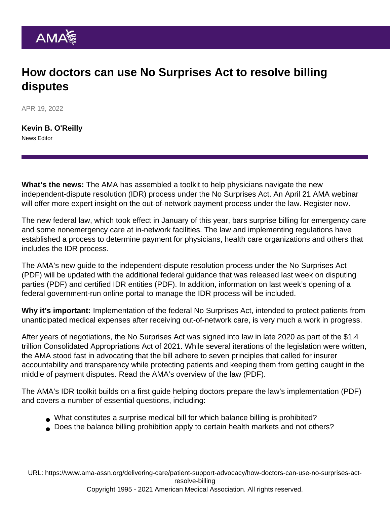## How doctors can use No Surprises Act to resolve billing disputes

APR 19, 2022

[Kevin B. O'Reilly](https://www.ama-assn.org/news-leadership-viewpoints/authors-news-leadership-viewpoints/kevin-b-oreilly) News Editor

What's the news: The AMA has assembled a toolkit to help physicians navigate the new independent-dispute resolution (IDR) process under the [No Surprises Act.](https://www.ama-assn.org/delivering-care/patient-support-advocacy/implementation-no-surprises-act) An April 21 AMA webinar will offer more expert insight on the out-of-network payment process under the law. [Register now.](https://www.ama-assn.org/delivering-care/patient-support-advocacy/ama-advocacy-insights-webinar-series-out-network-payment)

The new federal law, which took effect in January of this year, bars surprise billing for emergency care and some nonemergency care at in-network facilities. The law and implementing regulations have established a process to determine payment for physicians, health care organizations and others that includes the IDR process.

The [AMA's new guide to the independent-dispute resolution process under the No Surprises Act](https://www.ama-assn.org/system/files/ama-nsa-idr-toolkit.pdf) (PDF) will be updated with the additional federal guidance that was released last week on [disputing](https://www.cms.gov/files/document/federal-independent-dispute-resolution-guidance-disputing-parties.pdf) [parties](https://www.cms.gov/files/document/federal-independent-dispute-resolution-guidance-disputing-parties.pdf) (PDF) and [certified IDR entities](https://www.cms.gov/sites/default/files/2022-04/Revised-IDR-Process-Guidance-Certified-IDREs.pdf) (PDF). In addition, information on last week's opening of a [federal government-run online portal](https://nsa-idr.cms.gov/paymentdisputes/s/) to manage the IDR process will be included.

Why it's important: Implementation of the federal No Surprises Act, intended to protect patients from unanticipated medical expenses after receiving out-of-network care, is very much a work in progress.

After years of negotiations, the No Surprises Act was signed into law in late 2020 as part of the \$1.4 trillion Consolidated Appropriations Act of 2021. While [several iterations](https://www.ama-assn.org/about/leadership/key-change-needed-make-no-surprises-act-work-congress-intended) of the legislation were written, the AMA stood fast in advocating that the bill adhere to [seven principles](https://www.ama-assn.org/delivering-care/patient-support-advocacy/surprise-billing-7-principles-fix-broken-system) that called for insurer accountability and transparency while protecting patients and keeping them from getting caught in the middle of payment disputes. Read the [AMA's overview of the law](https://www.ama-assn.org/system/files/2021-02/surprise-billing-provisions-guide.pdf) (PDF).

The AMA's IDR toolkit builds on a [first guide helping doctors prepare the law's implementation](https://www.ama-assn.org/system/files/ama-nsa-toolkit.pdf) (PDF) and covers a number of essential questions, including:

- What constitutes a surprise medical bill for which balance billing is prohibited?
- Does the balance billing prohibition apply to certain health markets and not others?

URL: [https://www.ama-assn.org/delivering-care/patient-support-advocacy/how-doctors-can-use-no-surprises-act](https://www.ama-assn.org/delivering-care/patient-support-advocacy/how-doctors-can-use-no-surprises-act-resolve-billing)[resolve-billing](https://www.ama-assn.org/delivering-care/patient-support-advocacy/how-doctors-can-use-no-surprises-act-resolve-billing) Copyright 1995 - 2021 American Medical Association. All rights reserved.